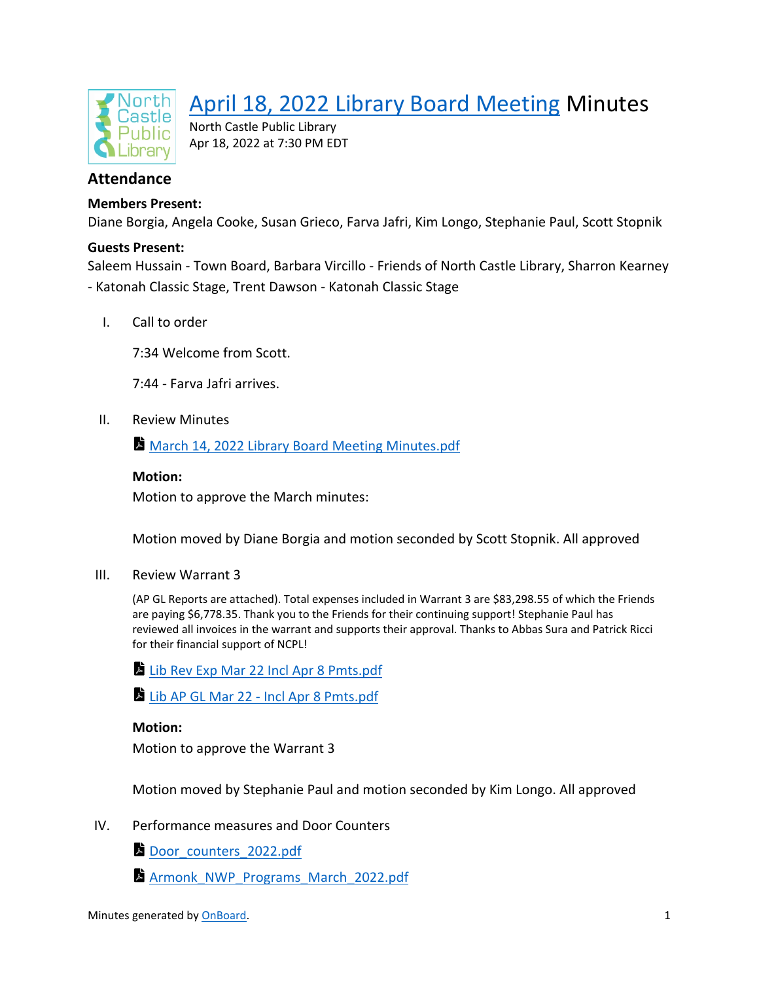

# [April 18, 2022 Library Board Meeting](https://app.onboardmeetings.com/e5c917df97bc46c8ad38fd8baf8b24da-151/meetingDetail/1e9f8eb2b131465dbbc2f2a1fd5e0eaf-151) Minutes

North Castle Public Library Apr 18, 2022 at 7:30 PM EDT

# **Attendance**

## **Members Present:**

Diane Borgia, Angela Cooke, Susan Grieco, Farva Jafri, Kim Longo, Stephanie Paul, Scott Stopnik

#### **Guests Present:**

Saleem Hussain - Town Board, Barbara Vircillo - Friends of North Castle Library, Sharron Kearney - Katonah Classic Stage, Trent Dawson - Katonah Classic Stage

I. Call to order

7:34 Welcome from Scott.

7:44 - Farva Jafri arrives.

II. Review Minutes

**[March 14, 2022 Library Board Meeting Minutes.pdf](https://app.onboardmeetings.com/e5c917df97bc46c8ad38fd8baf8b24da-151/meetingBook/1e9f8eb2b131465dbbc2f2a1fd5e0eaf-151?page=1)** 

#### **Motion:**

Motion to approve the March minutes:

Motion moved by Diane Borgia and motion seconded by Scott Stopnik. All approved

III. Review Warrant 3

(AP GL Reports are attached). Total expenses included in Warrant 3 are \$83,298.55 of which the Friends are paying \$6,778.35. Thank you to the Friends for their continuing support! Stephanie Paul has reviewed all invoices in the warrant and supports their approval. Thanks to Abbas Sura and Patrick Ricci for their financial support of NCPL!

- [Lib Rev Exp Mar 22 Incl Apr 8 Pmts.pdf](https://app.onboardmeetings.com/e5c917df97bc46c8ad38fd8baf8b24da-151/meetingBook/1e9f8eb2b131465dbbc2f2a1fd5e0eaf-151?page=6)
- [Lib AP GL Mar 22 Incl Apr 8 Pmts.pdf](https://app.onboardmeetings.com/e5c917df97bc46c8ad38fd8baf8b24da-151/meetingBook/1e9f8eb2b131465dbbc2f2a1fd5e0eaf-151?page=10)

#### **Motion:**

Motion to approve the Warrant 3

Motion moved by Stephanie Paul and motion seconded by Kim Longo. All approved

- IV. Performance measures and Door Counters
	- [Door\\_counters\\_2022.pdf](https://app.onboardmeetings.com/e5c917df97bc46c8ad38fd8baf8b24da-151/meetingBook/1e9f8eb2b131465dbbc2f2a1fd5e0eaf-151?page=18)
	- Armonk NWP Programs March 2022.pdf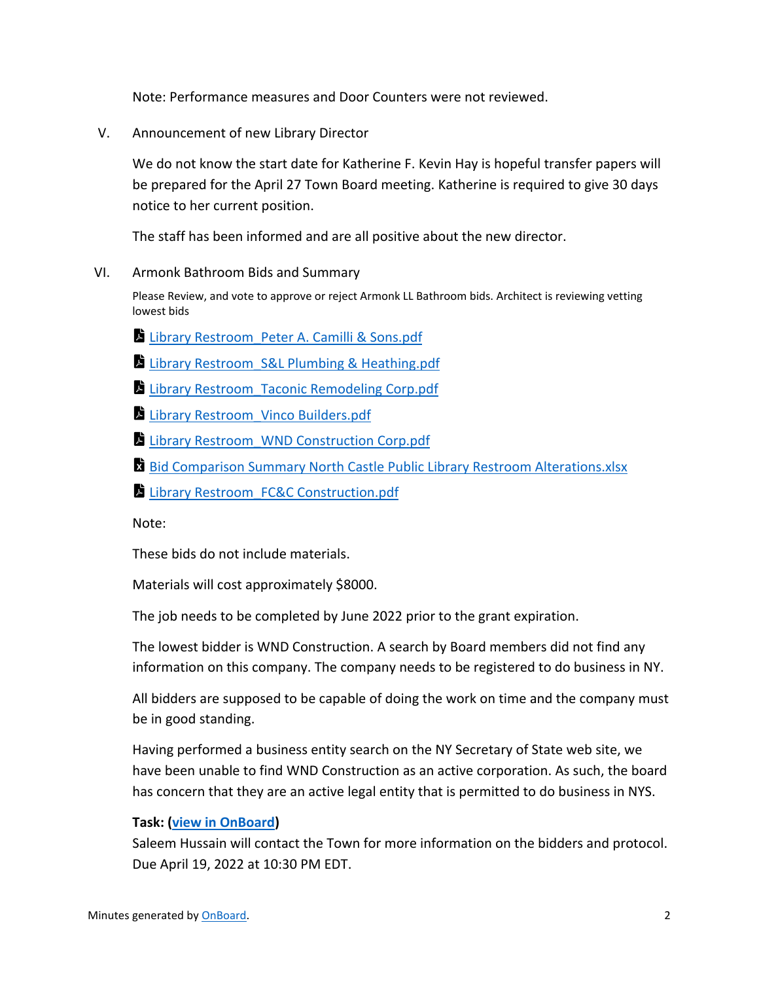Note: Performance measures and Door Counters were not reviewed.

V. Announcement of new Library Director

We do not know the start date for Katherine F. Kevin Hay is hopeful transfer papers will be prepared for the April 27 Town Board meeting. Katherine is required to give 30 days notice to her current position.

The staff has been informed and are all positive about the new director.

VI. Armonk Bathroom Bids and Summary

Please Review, and vote to approve or reject Armonk LL Bathroom bids. Architect is reviewing vetting lowest bids

- Library Restroom Peter A. Camilli & Sons.pdf
- **Library Restroom S&L Plumbing & Heathing.pdf**
- Library Restroom Taconic Remodeling Corp.pdf
- Library Restroom Vinco Builders.pdf
- [Library Restroom\\_WND Construction Corp.pdf](https://app.onboardmeetings.com/e5c917df97bc46c8ad38fd8baf8b24da-151/meetingBook/1e9f8eb2b131465dbbc2f2a1fd5e0eaf-151?page=139)
- **[Bid Comparison Summary North Castle Public Library Restroom Alterations.xlsx](https://app.onboardmeetings.com/e5c917df97bc46c8ad38fd8baf8b24da-151/meetingBook/1e9f8eb2b131465dbbc2f2a1fd5e0eaf-151?page=155)**
- Library Restroom FC&C Construction.pdf

Note:

These bids do not include materials.

Materials will cost approximately \$8000.

The job needs to be completed by June 2022 prior to the grant expiration.

The lowest bidder is WND Construction. A search by Board members did not find any information on this company. The company needs to be registered to do business in NY.

All bidders are supposed to be capable of doing the work on time and the company must be in good standing.

Having performed a business entity search on the NY Secretary of State web site, we have been unable to find WND Construction as an active corporation. As such, the board has concern that they are an active legal entity that is permitted to do business in NYS.

#### **Task: [\(view in OnBoard\)](https://app.onboardmeetings.com/e5c917df97bc46c8ad38fd8baf8b24da-151/tasks?filter=assignedToMe&flyoutTaskId=e5169668-8e84-43ed-b6cd-c7aade186909)**

Saleem Hussain will contact the Town for more information on the bidders and protocol. Due April 19, 2022 at 10:30 PM EDT.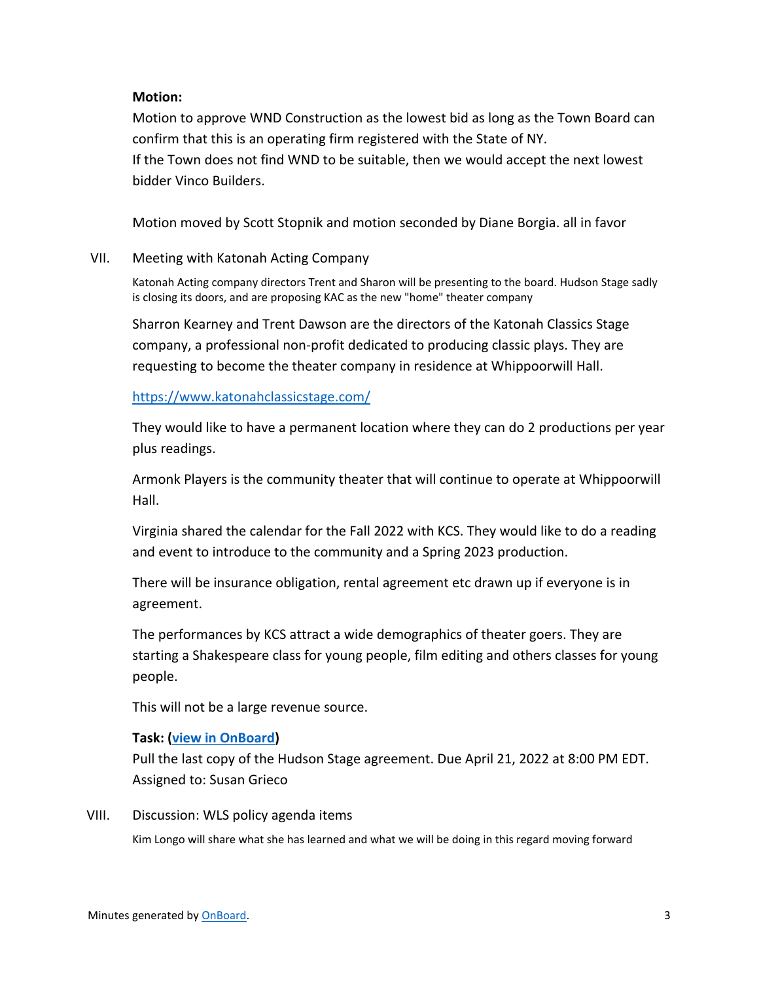### **Motion:**

Motion to approve WND Construction as the lowest bid as long as the Town Board can confirm that this is an operating firm registered with the State of NY. If the Town does not find WND to be suitable, then we would accept the next lowest bidder Vinco Builders.

Motion moved by Scott Stopnik and motion seconded by Diane Borgia. all in favor

#### VII. Meeting with Katonah Acting Company

Katonah Acting company directors Trent and Sharon will be presenting to the board. Hudson Stage sadly is closing its doors, and are proposing KAC as the new "home" theater company

Sharron Kearney and Trent Dawson are the directors of the Katonah Classics Stage company, a professional non-profit dedicated to producing classic plays. They are requesting to become the theater company in residence at Whippoorwill Hall.

<https://www.katonahclassicstage.com/>

They would like to have a permanent location where they can do 2 productions per year plus readings.

Armonk Players is the community theater that will continue to operate at Whippoorwill Hall.

Virginia shared the calendar for the Fall 2022 with KCS. They would like to do a reading and event to introduce to the community and a Spring 2023 production.

There will be insurance obligation, rental agreement etc drawn up if everyone is in agreement.

The performances by KCS attract a wide demographics of theater goers. They are starting a Shakespeare class for young people, film editing and others classes for young people.

This will not be a large revenue source.

#### **Task: [\(view in OnBoard\)](https://app.onboardmeetings.com/e5c917df97bc46c8ad38fd8baf8b24da-151/tasks?filter=assignedToMe&flyoutTaskId=518819d8-ed61-474a-8158-30b4f95ddcbc)**

Pull the last copy of the Hudson Stage agreement. Due April 21, 2022 at 8:00 PM EDT. Assigned to: Susan Grieco

VIII. Discussion: WLS policy agenda items

Kim Longo will share what she has learned and what we will be doing in this regard moving forward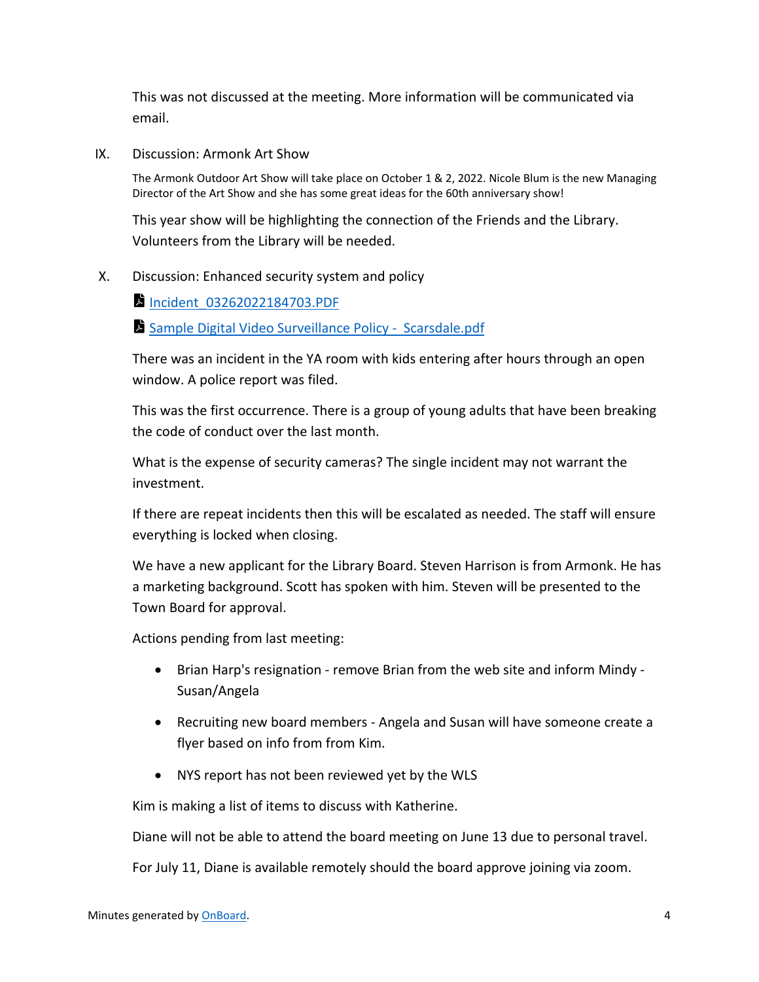This was not discussed at the meeting. More information will be communicated via email.

IX. Discussion: Armonk Art Show

The Armonk Outdoor Art Show will take place on October 1 & 2, 2022. Nicole Blum is the new Managing Director of the Art Show and she has some great ideas for the 60th anniversary show!

This year show will be highlighting the connection of the Friends and the Library. Volunteers from the Library will be needed.

#### X. Discussion: Enhanced security system and policy

**Incident 03262022184703.PDF** 

[Sample Digital Video Surveillance Policy - Scarsdale.pdf](https://app.onboardmeetings.com/e5c917df97bc46c8ad38fd8baf8b24da-151/meetingBook/1e9f8eb2b131465dbbc2f2a1fd5e0eaf-151?page=183)

There was an incident in the YA room with kids entering after hours through an open window. A police report was filed.

This was the first occurrence. There is a group of young adults that have been breaking the code of conduct over the last month.

What is the expense of security cameras? The single incident may not warrant the investment.

If there are repeat incidents then this will be escalated as needed. The staff will ensure everything is locked when closing.

We have a new applicant for the Library Board. Steven Harrison is from Armonk. He has a marketing background. Scott has spoken with him. Steven will be presented to the Town Board for approval.

Actions pending from last meeting:

- Brian Harp's resignation remove Brian from the web site and inform Mindy Susan/Angela
- Recruiting new board members Angela and Susan will have someone create a flyer based on info from from Kim.
- NYS report has not been reviewed yet by the WLS

Kim is making a list of items to discuss with Katherine.

Diane will not be able to attend the board meeting on June 13 due to personal travel.

For July 11, Diane is available remotely should the board approve joining via zoom.